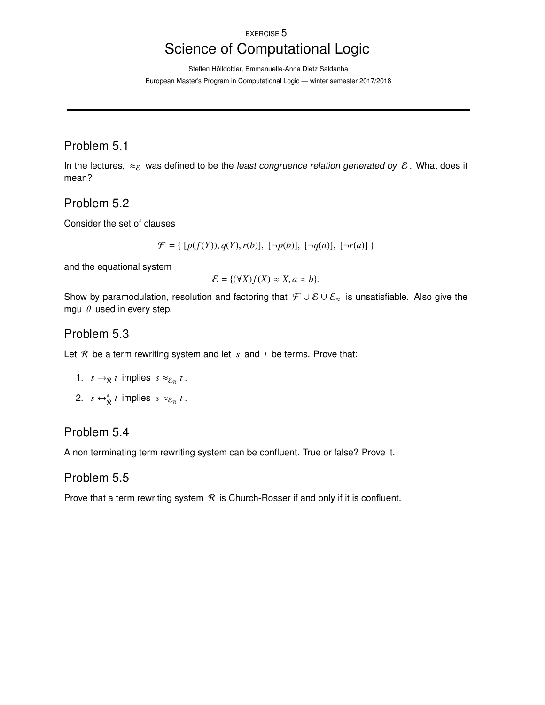#### EXERCISE 5

# Science of Computational Logic

Steffen Hölldobler, Emmanuelle-Anna Dietz Saldanha European Master's Program in Computational Logic — winter semester 2017/2018

# Problem 5.1

In the lectures,  $\approx_{\mathcal{E}}$  was defined to be the least congruence relation generated by  $\mathcal{E}$ . What does it mean?

#### Problem 5.2

Consider the set of clauses

$$
\mathcal{F} = \{ [p(f(Y)), q(Y), r(b)], [\neg p(b)], [\neg q(a)], [\neg r(a)] \}
$$

and the equational system

$$
\mathcal{E} = \{ (\forall X) f(X) \approx X, a \approx b \}.
$$

Show by paramodulation, resolution and factoring that  $\mathcal{F} \cup \mathcal{E} \cup \mathcal{E}_z$  is unsatisfiable. Also give the mgu  $\theta$  used in every step.

### Problem 5.3

Let R be a term rewriting system and let *s* and *t* be terms. Prove that:

- 1.  $s \rightarrow_R t$  implies  $s \approx_{\mathcal{E}_R} t$ .
- 2.  $s \leftrightarrow_{\mathcal{R}}^* t$  implies  $s \approx_{\mathcal{E}_{\mathcal{R}}} t$ .

# Problem 5.4

A non terminating term rewriting system can be confluent. True or false? Prove it.

# Problem 5.5

Prove that a term rewriting system  $R$  is Church-Rosser if and only if it is confluent.